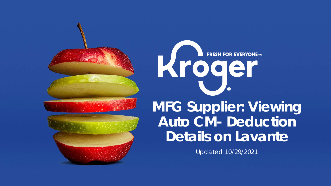



# **FRESH FOR EVERYONE TM** Kroger

## **MFG Supplier: Viewing Auto CM- Deduction Details on Lavante**

Updated 10/29/2021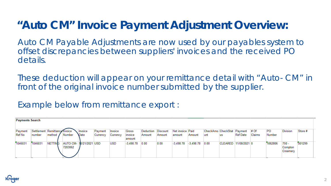#### **"Auto CM" Invoice Payment Adjustment Overview:**

Auto CM Payable Adjustments are now used by our payables system to offset discrepancies between suppliers' invoices and the received PO details.

These deduction will appear on your remittance detail with "Auto- CM" in front of the original invoice number submitted by the supplier.

Example below from remittance export :

|                   | <b>Payments Search</b>                  |                |                                    |                 |                     |                     |                            |                              |        |                            |             |                                         |                |              |        |                     |                                |         |
|-------------------|-----------------------------------------|----------------|------------------------------------|-----------------|---------------------|---------------------|----------------------------|------------------------------|--------|----------------------------|-------------|-----------------------------------------|----------------|--------------|--------|---------------------|--------------------------------|---------|
| Payment<br>Ref No | Settlement Remittance Invoice<br>number | method         | Number                             | Invoice<br>Date | Payment<br>Currency | Invoice<br>Currency | Gross<br>invoice<br>amount | Deduction Discount<br>Amount | Amount | Net invoice Paid<br>amount | Amount      | CheckAmo CheckStat Payment # Of<br>lunt | us             | Ref Date     | Claims | <b>PO</b><br>Number | <b>Division</b>                | Store # |
| 1046031           | 1046031                                 | <b>NETTING</b> | AUTO CM- 10/21/2021 USD<br>7203062 |                 |                     | <b>USD</b>          | $-3.498.78$                | 0.00                         | 0.00   | $-3,498.78$                | $-3,498.78$ | 0.00                                    | <b>CLEARED</b> | 11/08/2021 0 |        | 1062806             | $750 -$<br>Compton<br>Creamery | 001299  |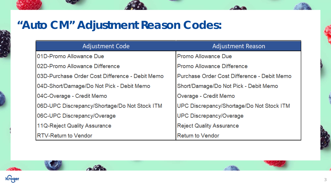## **"Auto CM" Adjustment Reason Codes:**

 $\sim 6$ 

| <b>Adjustment Code</b>                          | <b>Adjustment Reason</b>                    |
|-------------------------------------------------|---------------------------------------------|
| 01D-Promo Allowance Due                         | Promo Allowance Due                         |
| 02D-Promo Allowance Difference                  | Promo Allowance Difference                  |
| 03D-Purchase Order Cost Difference - Debit Memo | Purchase Order Cost Difference - Debit Memo |
| 04D-Short/Damage/Do Not Pick - Debit Memo       | Short/Damage/Do Not Pick - Debit Memo       |
| 04C-Overage - Credit Memo                       | Overage - Credit Memo                       |
| 06D-UPC Discrepancy/Shortage/Do Not Stock ITM   | UPC Discrepancy/Shortage/Do Not Stock ITM   |
| 06C-UPC Discrepancy/Overage                     | <b>UPC Discrepancy/Overage</b>              |
| 11Q-Reject Quality Assurance                    | <b>Reject Quality Assurance</b>             |
| <b>RTV-Return to Vendor</b>                     | <b>Return to Vendor</b>                     |

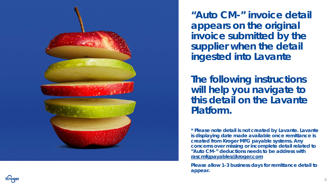

**"Auto CM-" invoice detail appears on the original invoice submitted by the supplier when the detail ingested into Lavante**

**The following instructions will help you navigate to this detail on the Lavante Platform.**

*\* Please note detail is not created by Lavante. Lavante is displaying date made available once remittance is created from Kroger MFG payable systems. Any concerns over missing or incomplete detail related to "Auto CM-" deductions needs to be address with [rascmfgpayables@kroger.com](mailto:rascmfgpayables@kroger.com)*

*Please allow 1-3 business days for remittance detail to appear.* 

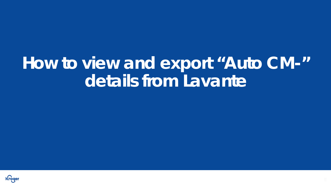## **How to view and export "Auto CM-" details from Lavante**

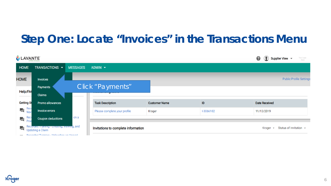#### **Step One: Locate "Invoices" in the Transactions Menu**

| LAVANTE            |                                                                                                                  |                 |                                     |                                                             |           | ℯ<br>Supplier View $\sim$<br>Your Logo<br>here |
|--------------------|------------------------------------------------------------------------------------------------------------------|-----------------|-------------------------------------|-------------------------------------------------------------|-----------|------------------------------------------------|
| <b>HOME</b>        | TRANSACTIONS -                                                                                                   | <b>MESSAGES</b> | ADMIN -                             |                                                             |           |                                                |
| <b>HOME</b>        | Invoices                                                                                                         |                 |                                     |                                                             |           | <b>Public Profile Settings</b>                 |
| <b>Help/FA</b>     | Payments                                                                                                         |                 | Click "Payments"                    |                                                             |           |                                                |
|                    | Claims                                                                                                           |                 |                                     |                                                             |           |                                                |
| <b>Getting St</b>  | Promo allowances                                                                                                 |                 | <b>Task Description</b>             | <b>Customer Name</b>                                        | ID        | <b>Date Received</b>                           |
| Rec<br>冎<br>Nay    | <b>Invoice errors</b>                                                                                            |                 | Please complete your profile        | Kroger                                                      | I-3066102 | 11/13/2019                                     |
| $\blacksquare$ Rec | <b>Coupon deductions</b>                                                                                         | on a            |                                     |                                                             |           |                                                |
| 一<br>—             | Recorded Training - Greating, viewing, and<br>Updating a Claim<br><b>Decorded Training - Unloading an Unnaid</b> |                 | Invitations to complete information | Status of Invitation ▼<br>Kroger<br>$\overline{\mathbf{v}}$ |           |                                                |

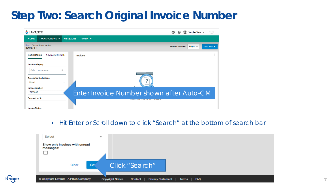### **Step Two: Search Original Invoice Number**

| LAVANTE                                                                                                                                                                                                                                                             | Supplier View -<br>Your Logo<br>here                                      |
|---------------------------------------------------------------------------------------------------------------------------------------------------------------------------------------------------------------------------------------------------------------------|---------------------------------------------------------------------------|
| TRANSACTIONS +<br><b>MESSAGES</b><br>ADMIN $\blacktriangledown$<br><b>HOME</b>                                                                                                                                                                                      |                                                                           |
| Home > Transactions > Invoices<br><b>INVOICES</b>                                                                                                                                                                                                                   | Add new $\blacktriangleright$<br>Kroger $\sim$<br><b>Select Customer:</b> |
| <b>Basic Search</b><br><b>Advanced Search</b><br><b>Invoices</b>                                                                                                                                                                                                    |                                                                           |
| Invoice category:<br>Select one or more<br>Q<br><b>Associated Deductions:</b><br>2<br>Select<br>$\overline{\mathbf{w}}$<br>$\sim$<br>$-0.000$<br>Invoice number:<br>Enter Invoice Number shown after Auto-CM<br>7203062<br>Payment ref #:<br><b>Invoice Status:</b> |                                                                           |

**Kroge** 

#### • Hit Enter or Scroll down to click "Search" at the bottom of search bar

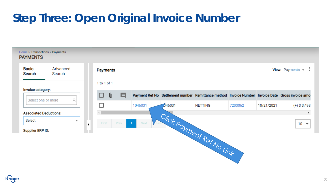## **Step Three: Open Original Invoice Number**



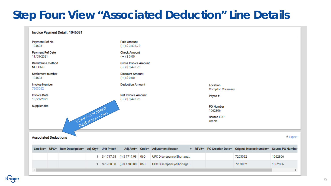#### **Step Four: View "Associated Deduction" Line Details**

|                                                       | Invoice Payment Detail: 1046031      |                                           |              |                                                  |                                               |                     |                          |                                     |                             |                                      |                  |  |  |  |  |
|-------------------------------------------------------|--------------------------------------|-------------------------------------------|--------------|--------------------------------------------------|-----------------------------------------------|---------------------|--------------------------|-------------------------------------|-----------------------------|--------------------------------------|------------------|--|--|--|--|
| 1046031                                               | Payment Ref No<br><b>Paid Amount</b> |                                           |              |                                                  |                                               |                     |                          |                                     |                             |                                      |                  |  |  |  |  |
| <b>Payment Ref Date</b><br>11/08/2021                 |                                      |                                           |              |                                                  | $(+)$ \$0.00                                  | <b>Check Amount</b> |                          |                                     |                             |                                      |                  |  |  |  |  |
| <b>Remittance method</b><br><b>NETTING</b>            |                                      |                                           |              | <b>Gross Invoice Amount</b><br>$(+)$ \$ 3,498.76 |                                               |                     |                          |                                     |                             |                                      |                  |  |  |  |  |
| Settlement number<br>1046031                          |                                      |                                           |              | <b>Discount Amount</b><br>$(+)$ \$0.00           |                                               |                     |                          |                                     |                             |                                      |                  |  |  |  |  |
| <b>Invoice Number</b><br>7203062                      |                                      |                                           |              | <b>Deduction Amount</b>                          |                                               |                     |                          | Location<br><b>Compton Creamery</b> |                             |                                      |                  |  |  |  |  |
| <b>Invoice Date</b><br>10/21/2021                     |                                      |                                           |              |                                                  | <b>Net Invoice Amount</b><br>$(+)$ \$3,498.76 |                     |                          |                                     | Payee #                     |                                      |                  |  |  |  |  |
| <b>Supplier site</b>                                  |                                      |                                           |              |                                                  |                                               |                     |                          |                                     | <b>PO Number</b><br>1062806 |                                      |                  |  |  |  |  |
|                                                       |                                      | View Associated                           |              |                                                  |                                               |                     |                          |                                     | <b>Source ERP</b><br>Oracle |                                      |                  |  |  |  |  |
| <b>Associated Deductions</b>                          |                                      |                                           |              |                                                  |                                               |                     |                          |                                     |                             |                                      | $E$ Export       |  |  |  |  |
| Line No <sup><math>\div</math></sup> UPC <sup>+</sup> |                                      | Item Description + Adj Qty + Unit Price + |              |                                                  | Adj Amt <sup>↓</sup> Code <sup>↓</sup>        |                     | <b>Adjustment Reason</b> | $\div$ RTV# $\div$                  | <b>PO Creation Date</b> ♦   | Original Invoice Number <sup>*</sup> | Source PO Number |  |  |  |  |
|                                                       |                                      |                                           | $\mathbf{1}$ |                                                  | $$-1717.98$ (-) \$1717.98                     | 06D                 | UPC Discrepancy/Shortage |                                     |                             | 7203062                              | 1062806          |  |  |  |  |

UPC Discrepancy/Shortage...

7203062

1062806

1 \$-1780.80 (-) \$1780.80 06D

Kroger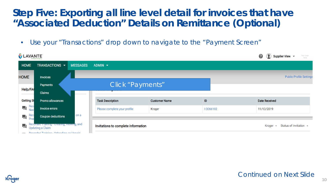• Use your "Transactions" drop down to navigate to the "Payment Screen"

| LAVANTE           |                                                                                                                        |                 |                                     |                      |                  | 0<br>Supplier View $\sim$                                   | Your Logo<br>here |
|-------------------|------------------------------------------------------------------------------------------------------------------------|-----------------|-------------------------------------|----------------------|------------------|-------------------------------------------------------------|-------------------|
| <b>HOME</b>       | TRANSACTIONS -                                                                                                         | <b>MESSAGES</b> | ADMIN $\blacktriangledown$          |                      |                  |                                                             |                   |
| <b>HOME</b>       | <b>Invoices</b>                                                                                                        |                 |                                     |                      |                  | <b>Public Profile Settings</b>                              |                   |
|                   | Payments                                                                                                               |                 | Click "Payments"                    |                      |                  |                                                             |                   |
| <b>Help/FA</b>    | Claims                                                                                                                 |                 |                                     |                      |                  |                                                             |                   |
| <b>Getting St</b> | Promo allowances                                                                                                       |                 | <b>Task Description</b>             | <b>Customer Name</b> | ID               | <b>Date Received</b>                                        |                   |
| Rec<br>Nav<br>口   | <b>Invoice errors</b>                                                                                                  |                 | Please complete your profile        | Kroger               | <b>I-3066102</b> | 11/13/2019                                                  |                   |
| Rec<br>Pro<br>冎   | <b>Coupon deductions</b>                                                                                               | on a            |                                     |                      |                  |                                                             |                   |
| 一                 | Recorded framing - Greating, viewing, and<br><b>Updating a Claim</b><br><b>Decorded Training - Unloading an Unnaid</b> |                 | Invitations to complete information |                      |                  | Status of Invitation ▼<br>Kroger<br>$\overline{\mathbf{v}}$ |                   |



#### Continued on Next Slide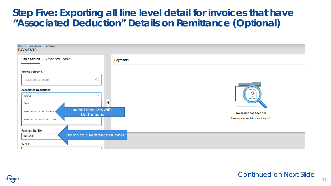

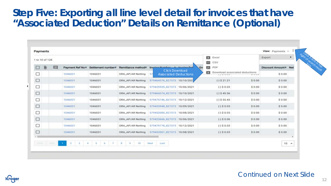| 1 to 10 of 128 |                    |                    |                                        |                                                                         |  | $\mathbf{z}$                                                       |                         | Export                           |  |
|----------------|--------------------|--------------------|----------------------------------------|-------------------------------------------------------------------------|--|--------------------------------------------------------------------|-------------------------|----------------------------------|--|
| $\Theta$<br>口  | Payment Ref No *   | Settlement number* | Remittance method®                     | Gro<br>Irv<br><b>Click Download</b>                                     |  | CSV<br>PDF<br>85<br>$\mathbf{x}$<br>Download associated deductions |                         | Discount Amount <sup>®</sup> Net |  |
| □<br>□         | 1046031<br>1046031 | 1046031<br>1046031 | ORA_AP/AR Netting<br>ORA_AP/AR Netting | <b>Associated Deductions</b><br><b>S7</b><br>579464376_827373 10/10/202 |  | <b>STATISTICS</b><br>$(.)$ \$ 21.21                                | <b>Window</b><br>\$0.00 | \$0.00<br>\$0.00                 |  |
| □              | 1046031            | 1046031            | ORA_AP/AR Netting                      | 579425935_827373 10/06/2021                                             |  | $( - )$ \$ 0.03                                                    | \$0.00                  | \$0.00                           |  |
| □              | 1046031            | 1046031            | ORA_AP/AR Netting                      | 579464374_827373 10/10/2021                                             |  | $(-)$ \$ 45.56                                                     | \$0.00                  | \$0.00                           |  |
| □              | 1046031            | 1046031            | ORA_AP/AR Netting                      | 579475746_827373 10/12/2021                                             |  | $(.)$ \$ 55.43                                                     | \$0.00                  | \$0.00                           |  |
| □              | 1046031            | 1046031            | ORA_AP/AR Netting                      | 579453948 827373 10/09/2021                                             |  | $(-)$ \$ 0.03                                                      | \$0.00                  | \$0.00                           |  |
| □              | 1046031            | 1046031            | ORA_AP/AR Netting                      | 579452000_827373 10/08/2021                                             |  | $(.)$ \$ 0.03                                                      | \$0.00                  | \$0.00                           |  |
| □              | 1046031            | 1046031            | ORA_AP/AR Netting                      | 579423666_827373 10/06/2021                                             |  | $( - )$ \$ 0.06                                                    | \$0.00                  | \$0.00                           |  |
| □              | 1046031            | 1046031            | ORA_AP/AR Netting                      | 579479778_827373 10/12/2021                                             |  | $( - )$ \$ 0.03                                                    | \$0.00                  | \$0.00                           |  |
| □              | 1046031            | 1046031            | ORA_AP/AR Netting                      | 579452001_827373 10/08/2021                                             |  | $(.)$ \$ 0.03                                                      | \$0.00                  | \$0.00                           |  |

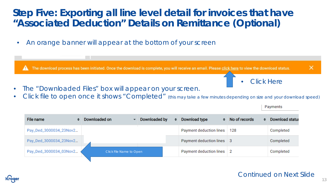• An orange banner will appear at the bottom of your screen



- The "Downloaded Files" box will appear on your screen.
- Click file to open once it shows "Completed" (this may take a few minutes depending on size and your download speed)

| <b>File name</b>       | Downloaded on           | Downloaded by | Download type             | No of records | <b>Download status</b> |
|------------------------|-------------------------|---------------|---------------------------|---------------|------------------------|
| Pay_Ded_3000034_23Nov2 |                         |               | Payment deduction lines   | 128           | Completed              |
| Pay_Ded_3000034_23Nov2 |                         |               | Payment deduction lines 3 |               | Completed              |
| Pay_Ded_3000034_03Nov2 | Click File Name to Open |               | Payment deduction lines   |               | Completed              |

#### Payments

Click Here

**13**

×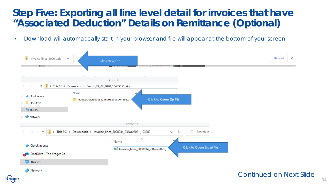• Download will automatically start in your browser and file will appear at the bottom of your screen.

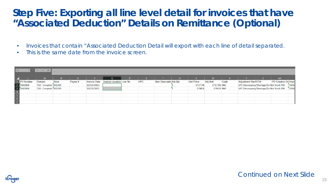- Invoices that contain "Associated Deduction Detail will export with each line of detail separated.
- This is the same date from the invoice screen.

| Q2 |           | $\times$<br>$\sim$   |              |         |                     |                                 |            |                         |                   |             |      |                                           |                       |       |
|----|-----------|----------------------|--------------|---------|---------------------|---------------------------------|------------|-------------------------|-------------------|-------------|------|-------------------------------------------|-----------------------|-------|
|    |           |                      | N 7          |         |                     |                                 |            |                         |                   |             |      |                                           | AA                    |       |
|    | PO Number | <b>Division</b>      | <b>Store</b> | Payee # | <b>Invoice Date</b> | <b>Invoice Location Line No</b> | <b>UPC</b> | Item Descriptio Adj Qty | <b>Unit Price</b> | Adj Amt     | Code | <b>Adjustment Rea RTV#</b>                | PO Creation Di Origin |       |
|    | 1062806   | 750 - Compton 001299 |              |         | 10/21/2021          |                                 |            |                         | $-1717.98$        | 1717.98 06D |      | UPC Discrepancy/Shortage/Do Not Stock ITM |                       | 72030 |
|    | 1062806   | 750 - Compton 001299 |              |         | 10/21/2021          |                                 |            |                         | $-1780.8$         | 1780.8 06D  |      | UPC Discrepancy/Shortage/Do Not Stock ITM |                       | 72030 |
|    |           |                      |              |         |                     |                                 |            |                         |                   |             |      |                                           |                       |       |
|    |           |                      |              |         |                     |                                 |            |                         |                   |             |      |                                           |                       |       |
|    |           |                      |              |         |                     |                                 |            |                         |                   |             |      |                                           |                       |       |
|    |           |                      |              |         |                     |                                 |            |                         |                   |             |      |                                           |                       |       |